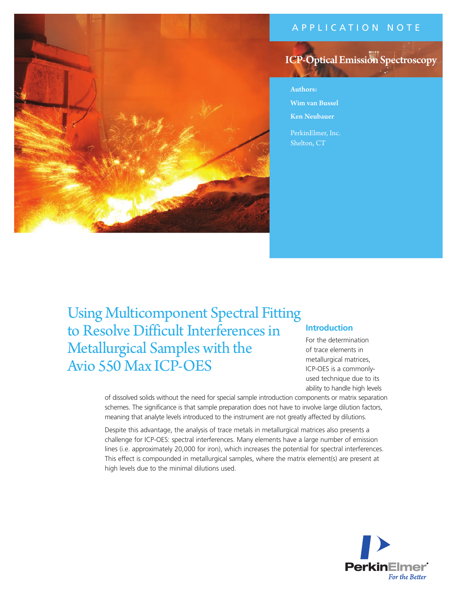# APPLICATION NOTE





Authors: Wim van Bussel Ken Neubauer

PerkinElmer, Inc. Shelton, CT

Using Multicomponent Spectral Fitting to Resolve Difficult Interferences in Metallurgical Samples with the Avio 550 Max ICP-OES

# **Introduction**

For the determination of trace elements in metallurgical matrices, ICP-OES is a commonlyused technique due to its ability to handle high levels

of dissolved solids without the need for special sample introduction components or matrix separation schemes. The significance is that sample preparation does not have to involve large dilution factors, meaning that analyte levels introduced to the instrument are not greatly affected by dilutions.

Despite this advantage, the analysis of trace metals in metallurgical matrices also presents a challenge for ICP-OES: spectral interferences. Many elements have a large number of emission lines (i.e. approximately 20,000 for iron), which increases the potential for spectral interferences. This effect is compounded in metallurgical samples, where the matrix element(s) are present at high levels due to the minimal dilutions used.

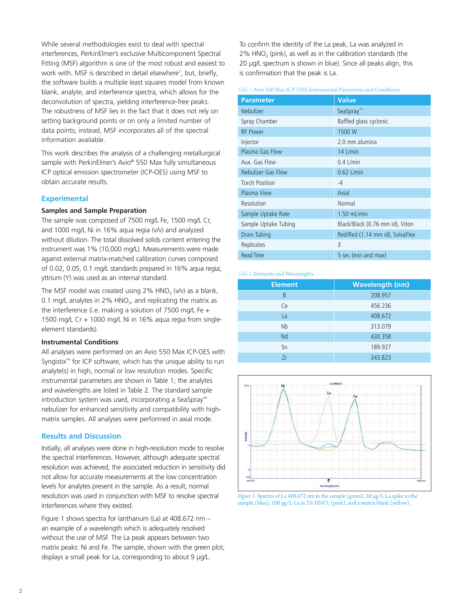While several methodologies exist to deal with spectral interferences, PerkinElmer's exclusive Multicomponent Spectral Fitting (MSF) algorithm is one of the most robust and easiest to work with. MSF is described in detail elsewhere<sup>1</sup>, but, briefly, the software builds a multiple least squares model from known blank, analyte, and interference spectra, which allows for the deconvolution of spectra, yielding interference-free peaks. The robustness of MSF lies in the fact that it does not rely on setting background points or on only a limited number of data points; instead, MSF incorporates all of the spectral information available.

This work describes the analysis of a challenging metallurgical sample with PerkinElmer's Avio® 550 Max fully simultaneous ICP optical emission spectrometer (ICP-OES) using MSF to obtain accurate results.

### **Experimental**

# **Samples and Sample Preparation**

The sample was composed of 7500 mg/L Fe, 1500 mg/L Cr, and 1000 mg/L Ni in 16% aqua regia (v/v) and analyzed without dilution. The total dissolved solids content entering the instrument was 1% (10,000 mg/L). Measurements were made against external matrix-matched calibration curves composed of 0.02, 0.05, 0.1 mg/L standards prepared in 16% aqua regia; yttrium (Y) was used as an internal standard.

The MSF model was created using  $2\%$  HNO<sub>3</sub> (v/v) as a blank, 0.1 mg/L analytes in  $2\%$  HNO<sub>3</sub>, and replicating the matrix as the interference (i.e. making a solution of 7500 mg/L Fe + 1500 mg/L Cr + 1000 mg/L Ni in 16% aqua regia from singleelement standards).

### **Instrumental Conditions**

All analyses were performed on an Avio 550 Max ICP-OES with Syngistix™ for ICP software, which has the unique ability to run analyte(s) in high, normal or low resolution modes. Specific instrumental parameters are shown in Table 1; the analytes and wavelengths are listed in Table 2. The standard sample introduction system was used, incorporating a SeaSpray™ nebulizer for enhanced sensitivity and compatibility with highmatrix samples. All analyses were performed in axial mode.

### **Results and Discussion**

Initially, all analyses were done in high-resolution mode to resolve the spectral interferences. However, although adequate spectral resolution was achieved, the associated reduction in sensitivity did not allow for accurate measurements at the low concentration levels for analytes present in the sample. As a result, normal resolution was used in conjunction with MSF to resolve spectral interferences where they existed.

Figure 1 shows spectra for lanthanum (La) at 408.672 nm – an example of a wavelength which is adequately resolved without the use of MSF. The La peak appears between two matrix peaks: Ni and Fe. The sample, shown with the green plot, displays a small peak for La, corresponding to about 9 µg/L.

To confirm the identity of the La peak, La was analyzed in  $2\%$  HNO<sub>3</sub> (pink), as well as in the calibration standards (the 20 µg/L spectrum is shown in blue). Since all peaks align, this is confirmation that the peak is La.

*Table 1.* Avio 550 Max ICP-OES Instrumental Parameters and Conditions.

| <b>Parameter</b>      | <b>Value</b>                    |
|-----------------------|---------------------------------|
| <b>Nebulizer</b>      | SeaSpray <sup>™</sup>           |
| Spray Chamber         | Baffled glass cyclonic          |
| <b>RF Power</b>       | 1500 W                          |
| Injector              | 2.0 mm alumina                  |
| Plasma Gas Flow       | $14$ L/min                      |
| Aux. Gas Flow         | $0.4$ L/min                     |
| Nebulizer Gas Flow    | $0.62$ L/min                    |
| <b>Torch Position</b> | $-4$                            |
| Plasma View           | Axial                           |
| Resolution            | Normal                          |
| Sample Uptake Rate    | $1.50$ mL/min                   |
| Sample Uptake Tubing  | Black/Black (0.76 mm id), Viton |
| Drain Tubing          | Red/Red (1.14 mm id), SolvaFlex |
| Replicates            | 3                               |
| <b>Read Time</b>      | 5 sec (min and max)             |

#### *Table 2.* Elements and Wavelengths.

| <b>Element</b> | <b>Wavelength (nm)</b> |  |
|----------------|------------------------|--|
| B              | 208.957                |  |
| Ce             | 456.236                |  |
| La             | 408.672                |  |
| <b>Nb</b>      | 313.079                |  |
| Nd             | 430.358                |  |
| Sn             | 189.927                |  |
| 7r             | 343.823                |  |



*Figure 1.* Spectra of La 408.672 nm in the sample (green), 20 µg/L La spike in the sample (blue), 100  $\mu$ g/L La in 2% HNO<sub>3</sub> (pink), and a matrix blank (yellow).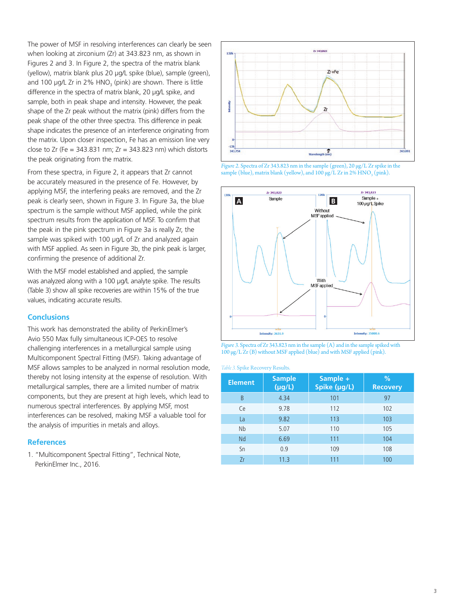The power of MSF in resolving interferences can clearly be seen when looking at zirconium (Zr) at 343.823 nm, as shown in Figures 2 and 3. In Figure 2, the spectra of the matrix blank (yellow), matrix blank plus 20 µg/L spike (blue), sample (green), and 100  $\mu$ g/L Zr in 2% HNO<sub>3</sub> (pink) are shown. There is little difference in the spectra of matrix blank, 20 µg/L spike, and sample, both in peak shape and intensity. However, the peak shape of the Zr peak without the matrix (pink) differs from the peak shape of the other three spectra. This difference in peak shape indicates the presence of an interference originating from the matrix. Upon closer inspection, Fe has an emission line very close to Zr (Fe =  $343.831$  nm; Zr =  $343.823$  nm) which distorts the peak originating from the matrix.

From these spectra, in Figure 2, it appears that Zr cannot be accurately measured in the presence of Fe. However, by applying MSF, the interfering peaks are removed, and the Zr peak is clearly seen, shown in Figure 3. In Figure 3a, the blue spectrum is the sample without MSF applied, while the pink spectrum results from the application of MSF. To confirm that the peak in the pink spectrum in Figure 3a is really Zr, the sample was spiked with 100 µg/L of Zr and analyzed again with MSF applied. As seen in Figure 3b, the pink peak is larger, confirming the presence of additional Zr.

With the MSF model established and applied, the sample was analyzed along with a 100 µg/L analyte spike. The results (Table 3) show all spike recoveries are within 15% of the true values, indicating accurate results.

# **Conclusions**

This work has demonstrated the ability of PerkinElmer's Avio 550 Max fully simultaneous ICP-OES to resolve challenging interferences in a metallurgical sample using Multicomponent Spectral Fitting (MSF). Taking advantage of MSF allows samples to be analyzed in normal resolution mode, thereby not losing intensity at the expense of resolution. With metallurgical samples, there are a limited number of matrix components, but they are present at high levels, which lead to numerous spectral interferences. By applying MSF, most interferences can be resolved, making MSF a valuable tool for the analysis of impurities in metals and alloys.

# **References**

1. "Multicomponent Spectral Fitting", Technical Note, PerkinElmer Inc., 2016.









#### *Table 3.* Spike Recovery Results.

| <b>Element</b> | <b>Sample</b><br>$(\mu g/L)$ | Sample +<br>Spike (µg/L) | %<br><b>Recovery</b> |
|----------------|------------------------------|--------------------------|----------------------|
| B              | 4.34                         | 101                      | 97                   |
| Ce             | 9.78                         | 112                      | 102                  |
| La             | 9.82                         | 113                      | 103                  |
| Nb             | 5.07                         | 110                      | 105                  |
| Nd             | 6.69                         | 111                      | 104                  |
| Sn             | 0.9                          | 109                      | 108                  |
| Zr             | 11.3                         | 111                      | 100                  |